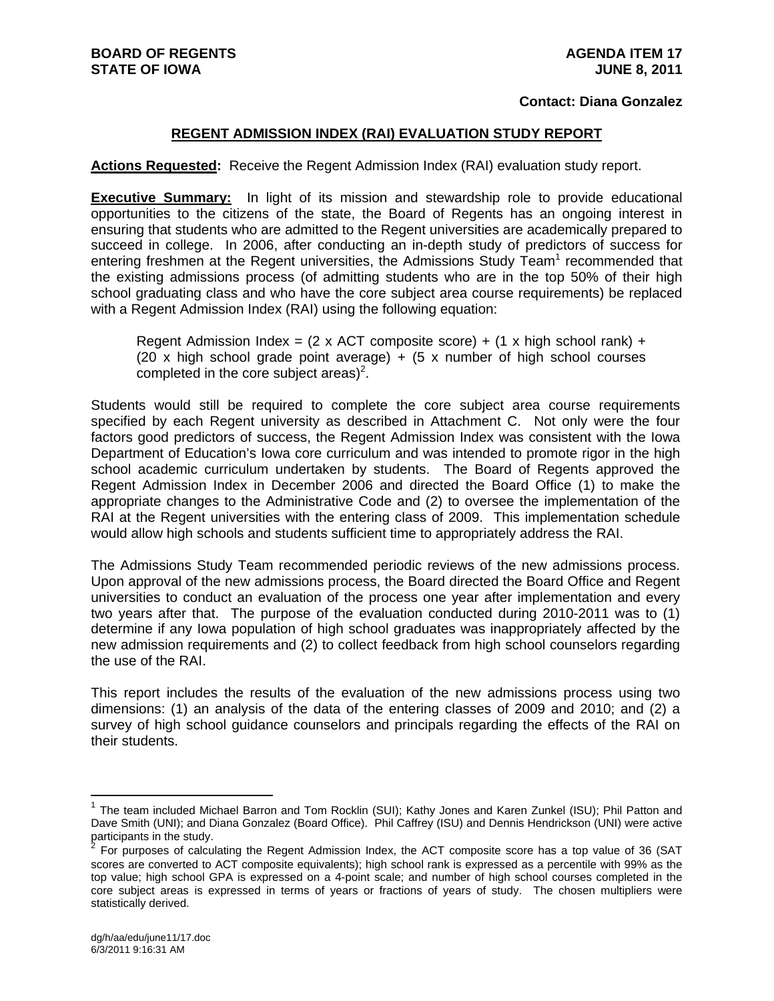#### **Contact: Diana Gonzalez**

#### **REGENT ADMISSION INDEX (RAI) EVALUATION STUDY REPORT**

#### **Actions Requested:** Receive the Regent Admission Index (RAI) evaluation study report.

**Executive Summary:** In light of its mission and stewardship role to provide educational opportunities to the citizens of the state, the Board of Regents has an ongoing interest in ensuring that students who are admitted to the Regent universities are academically prepared to succeed in college. In 2006, after conducting an in-depth study of predictors of success for entering freshmen at the Regent universities, the Admissions Study Team<sup>1</sup> recommended that the existing admissions process (of admitting students who are in the top 50% of their high school graduating class and who have the core subject area course requirements) be replaced with a Regent Admission Index (RAI) using the following equation:

Regent Admission Index =  $(2 \times$  ACT composite score) +  $(1 \times$  high school rank) + (20 x high school grade point average)  $+$  (5 x number of high school courses completed in the core subject areas)<sup>2</sup>.

Students would still be required to complete the core subject area course requirements specified by each Regent university as described in Attachment C. Not only were the four factors good predictors of success, the Regent Admission Index was consistent with the Iowa Department of Education's Iowa core curriculum and was intended to promote rigor in the high school academic curriculum undertaken by students. The Board of Regents approved the Regent Admission Index in December 2006 and directed the Board Office (1) to make the appropriate changes to the Administrative Code and (2) to oversee the implementation of the RAI at the Regent universities with the entering class of 2009. This implementation schedule would allow high schools and students sufficient time to appropriately address the RAI.

The Admissions Study Team recommended periodic reviews of the new admissions process. Upon approval of the new admissions process, the Board directed the Board Office and Regent universities to conduct an evaluation of the process one year after implementation and every two years after that. The purpose of the evaluation conducted during 2010-2011 was to (1) determine if any Iowa population of high school graduates was inappropriately affected by the new admission requirements and (2) to collect feedback from high school counselors regarding the use of the RAI.

This report includes the results of the evaluation of the new admissions process using two dimensions: (1) an analysis of the data of the entering classes of 2009 and 2010; and (2) a survey of high school guidance counselors and principals regarding the effects of the RAI on their students.

 $\overline{a}$ 

<sup>&</sup>lt;sup>1</sup> The team included Michael Barron and Tom Rocklin (SUI); Kathy Jones and Karen Zunkel (ISU); Phil Patton and Dave Smith (UNI); and Diana Gonzalez (Board Office). Phil Caffrey (ISU) and Dennis Hendrickson (UNI) were active participants in the study.

<sup>2</sup> For purposes of calculating the Regent Admission Index, the ACT composite score has a top value of 36 (SAT scores are converted to ACT composite equivalents); high school rank is expressed as a percentile with 99% as the top value; high school GPA is expressed on a 4-point scale; and number of high school courses completed in the core subject areas is expressed in terms of years or fractions of years of study. The chosen multipliers were statistically derived.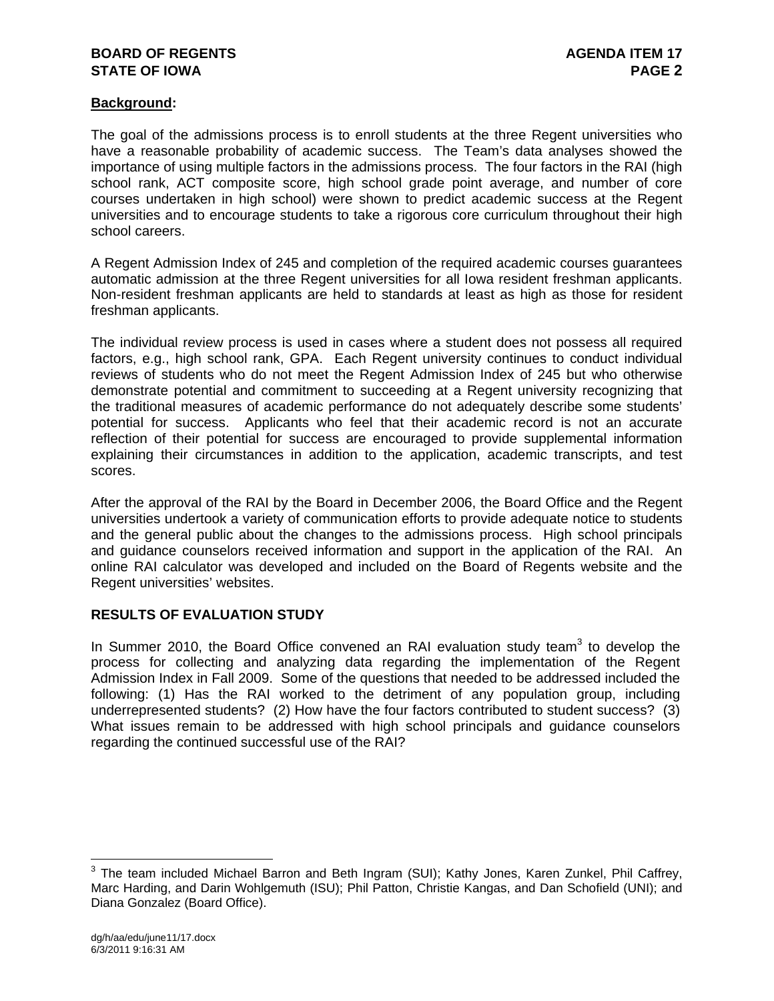## **BOARD OF REGENTS AGENUS AGENDA ITEM 17 STATE OF IOWA** PAGE 2

### **Background:**

The goal of the admissions process is to enroll students at the three Regent universities who have a reasonable probability of academic success. The Team's data analyses showed the importance of using multiple factors in the admissions process. The four factors in the RAI (high school rank, ACT composite score, high school grade point average, and number of core courses undertaken in high school) were shown to predict academic success at the Regent universities and to encourage students to take a rigorous core curriculum throughout their high school careers.

A Regent Admission Index of 245 and completion of the required academic courses guarantees automatic admission at the three Regent universities for all Iowa resident freshman applicants. Non-resident freshman applicants are held to standards at least as high as those for resident freshman applicants.

The individual review process is used in cases where a student does not possess all required factors, e.g., high school rank, GPA. Each Regent university continues to conduct individual reviews of students who do not meet the Regent Admission Index of 245 but who otherwise demonstrate potential and commitment to succeeding at a Regent university recognizing that the traditional measures of academic performance do not adequately describe some students' potential for success. Applicants who feel that their academic record is not an accurate reflection of their potential for success are encouraged to provide supplemental information explaining their circumstances in addition to the application, academic transcripts, and test scores.

After the approval of the RAI by the Board in December 2006, the Board Office and the Regent universities undertook a variety of communication efforts to provide adequate notice to students and the general public about the changes to the admissions process. High school principals and guidance counselors received information and support in the application of the RAI. An online RAI calculator was developed and included on the Board of Regents website and the Regent universities' websites.

## **RESULTS OF EVALUATION STUDY**

In Summer 2010, the Board Office convened an RAI evaluation study team $3$  to develop the process for collecting and analyzing data regarding the implementation of the Regent Admission Index in Fall 2009. Some of the questions that needed to be addressed included the following: (1) Has the RAI worked to the detriment of any population group, including underrepresented students? (2) How have the four factors contributed to student success? (3) What issues remain to be addressed with high school principals and guidance counselors regarding the continued successful use of the RAI?

 $\overline{a}$ 

 $3$  The team included Michael Barron and Beth Ingram (SUI); Kathy Jones, Karen Zunkel, Phil Caffrey, Marc Harding, and Darin Wohlgemuth (ISU); Phil Patton, Christie Kangas, and Dan Schofield (UNI); and Diana Gonzalez (Board Office).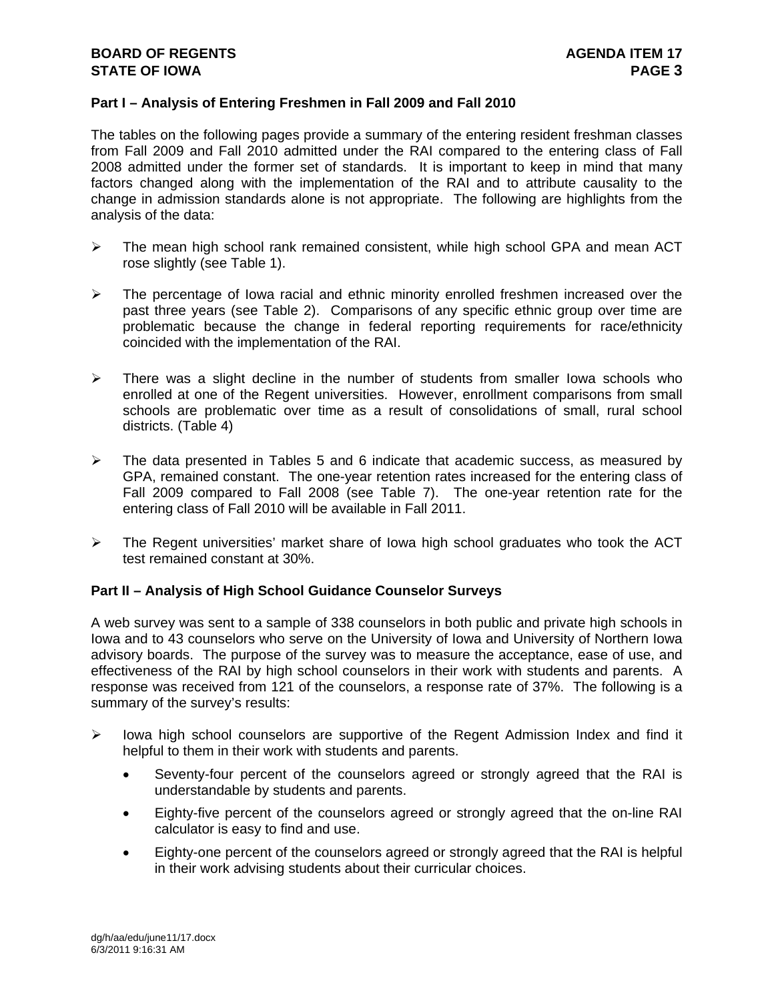#### **Part I – Analysis of Entering Freshmen in Fall 2009 and Fall 2010**

The tables on the following pages provide a summary of the entering resident freshman classes from Fall 2009 and Fall 2010 admitted under the RAI compared to the entering class of Fall 2008 admitted under the former set of standards. It is important to keep in mind that many factors changed along with the implementation of the RAI and to attribute causality to the change in admission standards alone is not appropriate. The following are highlights from the analysis of the data:

- $\triangleright$  The mean high school rank remained consistent, while high school GPA and mean ACT rose slightly (see Table 1).
- $\triangleright$  The percentage of Iowa racial and ethnic minority enrolled freshmen increased over the past three years (see Table 2). Comparisons of any specific ethnic group over time are problematic because the change in federal reporting requirements for race/ethnicity coincided with the implementation of the RAI.
- $\triangleright$  There was a slight decline in the number of students from smaller lowa schools who enrolled at one of the Regent universities. However, enrollment comparisons from small schools are problematic over time as a result of consolidations of small, rural school districts. (Table 4)
- $\triangleright$  The data presented in Tables 5 and 6 indicate that academic success, as measured by GPA, remained constant. The one-year retention rates increased for the entering class of Fall 2009 compared to Fall 2008 (see Table 7). The one-year retention rate for the entering class of Fall 2010 will be available in Fall 2011.
- $\triangleright$  The Regent universities' market share of lowa high school graduates who took the ACT test remained constant at 30%.

#### **Part II – Analysis of High School Guidance Counselor Surveys**

A web survey was sent to a sample of 338 counselors in both public and private high schools in Iowa and to 43 counselors who serve on the University of Iowa and University of Northern Iowa advisory boards. The purpose of the survey was to measure the acceptance, ease of use, and effectiveness of the RAI by high school counselors in their work with students and parents. A response was received from 121 of the counselors, a response rate of 37%. The following is a summary of the survey's results:

- $\triangleright$  lowa high school counselors are supportive of the Regent Admission Index and find it helpful to them in their work with students and parents.
	- Seventy-four percent of the counselors agreed or strongly agreed that the RAI is understandable by students and parents.
	- Eighty-five percent of the counselors agreed or strongly agreed that the on-line RAI calculator is easy to find and use.
	- Eighty-one percent of the counselors agreed or strongly agreed that the RAI is helpful in their work advising students about their curricular choices.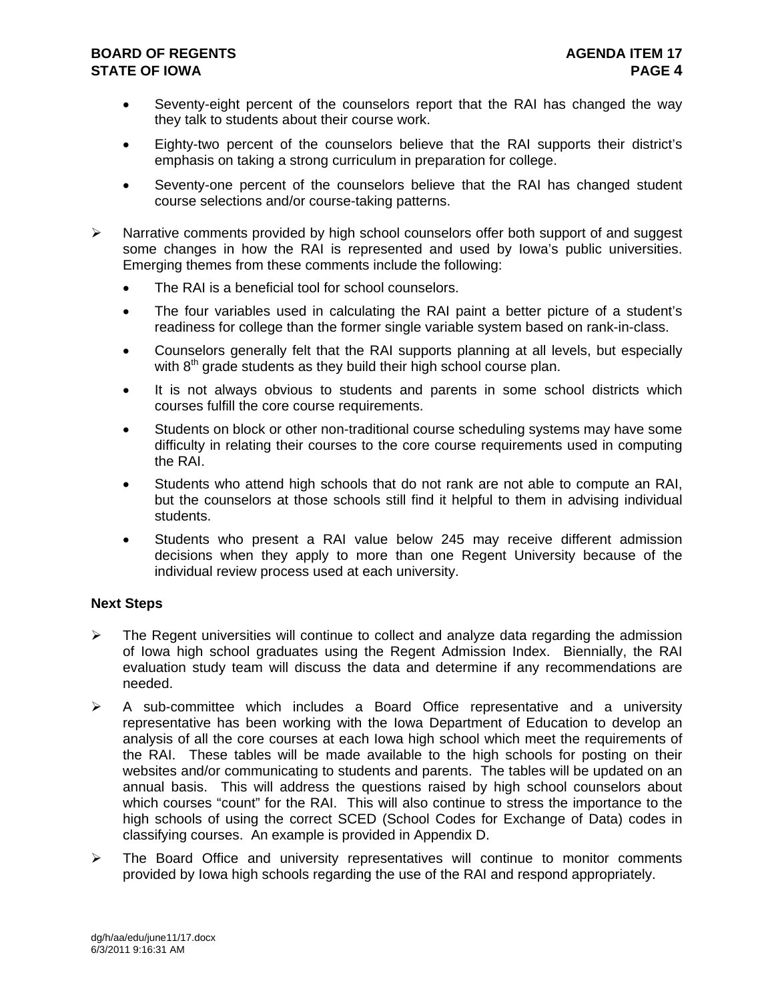### **BOARD OF REGENTS AGENUS AGENDA ITEM 17 STATE OF IOWA PAGE 4**

- Seventy-eight percent of the counselors report that the RAI has changed the way they talk to students about their course work.
- Eighty-two percent of the counselors believe that the RAI supports their district's emphasis on taking a strong curriculum in preparation for college.
- Seventy-one percent of the counselors believe that the RAI has changed student course selections and/or course-taking patterns.
- $\triangleright$  Narrative comments provided by high school counselors offer both support of and suggest some changes in how the RAI is represented and used by Iowa's public universities. Emerging themes from these comments include the following:
	- The RAI is a beneficial tool for school counselors.
	- The four variables used in calculating the RAI paint a better picture of a student's readiness for college than the former single variable system based on rank-in-class.
	- Counselors generally felt that the RAI supports planning at all levels, but especially with  $8<sup>th</sup>$  grade students as they build their high school course plan.
	- It is not always obvious to students and parents in some school districts which courses fulfill the core course requirements.
	- Students on block or other non-traditional course scheduling systems may have some difficulty in relating their courses to the core course requirements used in computing the RAI.
	- Students who attend high schools that do not rank are not able to compute an RAI, but the counselors at those schools still find it helpful to them in advising individual students.
	- Students who present a RAI value below 245 may receive different admission decisions when they apply to more than one Regent University because of the individual review process used at each university.

## **Next Steps**

- $\triangleright$  The Regent universities will continue to collect and analyze data regarding the admission of Iowa high school graduates using the Regent Admission Index. Biennially, the RAI evaluation study team will discuss the data and determine if any recommendations are needed.
- $\triangleright$  A sub-committee which includes a Board Office representative and a university representative has been working with the Iowa Department of Education to develop an analysis of all the core courses at each Iowa high school which meet the requirements of the RAI. These tables will be made available to the high schools for posting on their websites and/or communicating to students and parents. The tables will be updated on an annual basis. This will address the questions raised by high school counselors about which courses "count" for the RAI. This will also continue to stress the importance to the high schools of using the correct SCED (School Codes for Exchange of Data) codes in classifying courses. An example is provided in Appendix D.
- $\triangleright$  The Board Office and university representatives will continue to monitor comments provided by Iowa high schools regarding the use of the RAI and respond appropriately.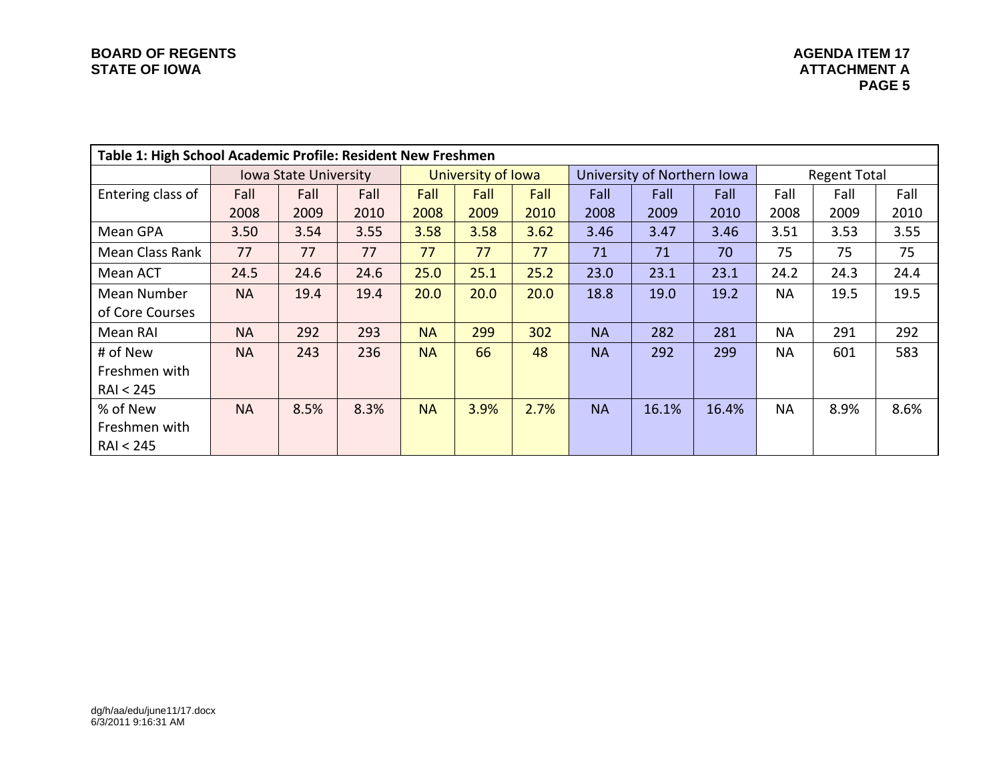|                     | Table 1: High School Academic Profile: Resident New Freshmen |                              |      |           |                    |      |           |                             |       |           |                     |      |  |  |
|---------------------|--------------------------------------------------------------|------------------------------|------|-----------|--------------------|------|-----------|-----------------------------|-------|-----------|---------------------|------|--|--|
|                     |                                                              | <b>Iowa State University</b> |      |           | University of Iowa |      |           | University of Northern Iowa |       |           | <b>Regent Total</b> |      |  |  |
| Entering class of   | Fall                                                         | Fall                         | Fall | Fall      | Fall               | Fall | Fall      | Fall                        | Fall  | Fall      | Fall                | Fall |  |  |
|                     | 2008                                                         | 2009                         | 2010 | 2008      | 2009               | 2010 | 2008      | 2009                        | 2010  | 2008      | 2009                | 2010 |  |  |
| Mean GPA            | 3.50                                                         | 3.54                         | 3.55 | 3.58      | 3.58               | 3.62 | 3.46      | 3.47                        | 3.46  | 3.51      | 3.53                | 3.55 |  |  |
| Mean Class Rank     | 77                                                           | 77                           | 77   | 77        | 77                 | 77   | 71        | 71                          | 70    | 75        | 75                  | 75   |  |  |
| Mean ACT            | 24.5                                                         | 24.6                         | 24.6 | 25.0      | 25.1               | 25.2 | 23.0      | 23.1                        | 23.1  | 24.2      | 24.3                | 24.4 |  |  |
| Mean Number         | <b>NA</b>                                                    | 19.4                         | 19.4 | 20.0      | 20.0               | 20.0 | 18.8      | 19.0                        | 19.2  | <b>NA</b> | 19.5                | 19.5 |  |  |
| of Core Courses     |                                                              |                              |      |           |                    |      |           |                             |       |           |                     |      |  |  |
| Mean RAI            | <b>NA</b>                                                    | 292                          | 293  | <b>NA</b> | 299                | 302  | <b>NA</b> | 282                         | 281   | <b>NA</b> | 291                 | 292  |  |  |
| # of New            | <b>NA</b>                                                    | 243                          | 236  | <b>NA</b> | 66                 | 48   | <b>NA</b> | 292                         | 299   | <b>NA</b> | 601                 | 583  |  |  |
| Freshmen with       |                                                              |                              |      |           |                    |      |           |                             |       |           |                     |      |  |  |
| <b>RAI &lt; 245</b> |                                                              |                              |      |           |                    |      |           |                             |       |           |                     |      |  |  |
| % of New            | <b>NA</b>                                                    | 8.5%                         | 8.3% | <b>NA</b> | 3.9%               | 2.7% | <b>NA</b> | 16.1%                       | 16.4% | <b>NA</b> | 8.9%                | 8.6% |  |  |
| Freshmen with       |                                                              |                              |      |           |                    |      |           |                             |       |           |                     |      |  |  |
| <b>RAI &lt; 245</b> |                                                              |                              |      |           |                    |      |           |                             |       |           |                     |      |  |  |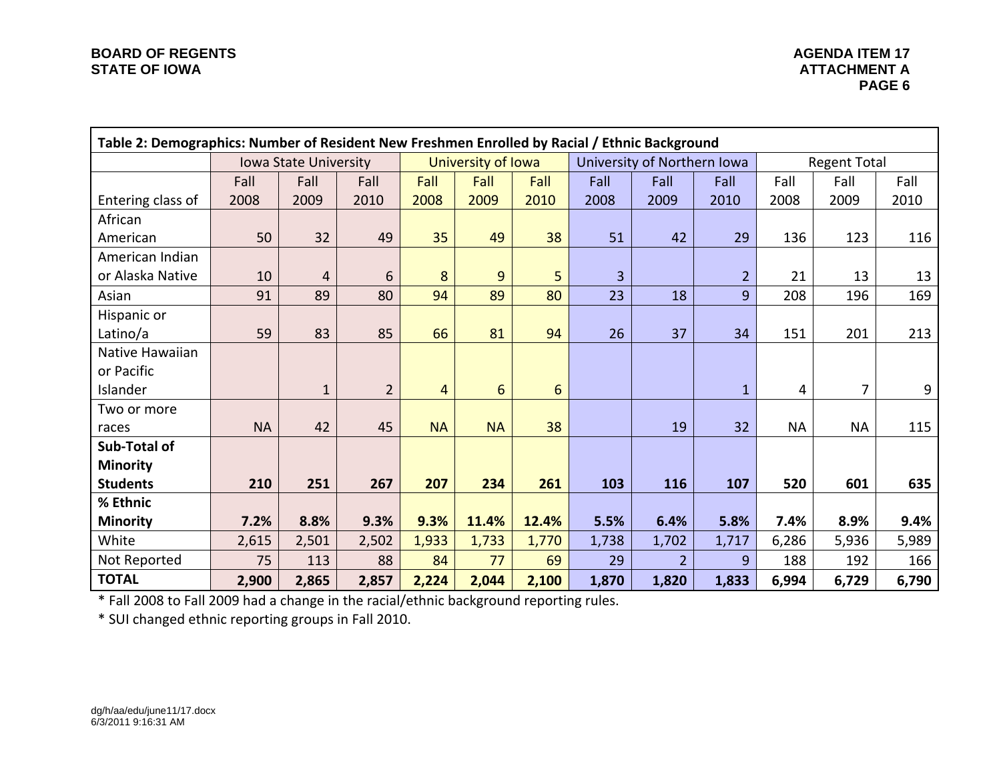|                   | Table 2: Demographics: Number of Resident New Freshmen Enrolled by Racial / Ethnic Background |                              |                |                |                    |       |       |                             |                |           |                     |       |  |  |
|-------------------|-----------------------------------------------------------------------------------------------|------------------------------|----------------|----------------|--------------------|-------|-------|-----------------------------|----------------|-----------|---------------------|-------|--|--|
|                   |                                                                                               | <b>Iowa State University</b> |                |                | University of Iowa |       |       | University of Northern Iowa |                |           | <b>Regent Total</b> |       |  |  |
|                   | Fall                                                                                          | Fall                         | Fall           | Fall           | Fall               | Fall  | Fall  | Fall                        | Fall           | Fall      | Fall                | Fall  |  |  |
| Entering class of | 2008                                                                                          | 2009                         | 2010           | 2008           | 2009               | 2010  | 2008  | 2009                        | 2010           | 2008      | 2009                | 2010  |  |  |
| African           |                                                                                               |                              |                |                |                    |       |       |                             |                |           |                     |       |  |  |
| American          | 50                                                                                            | 32                           | 49             | 35             | 49                 | 38    | 51    | 42                          | 29             | 136       | 123                 | 116   |  |  |
| American Indian   |                                                                                               |                              |                |                |                    |       |       |                             |                |           |                     |       |  |  |
| or Alaska Native  | 10                                                                                            | $\overline{4}$               | 6              | 8              | 9                  | 5     | 3     |                             | $\overline{2}$ | 21        | 13                  | 13    |  |  |
| Asian             | 91                                                                                            | 89                           | 80             | 94             | 89                 | 80    | 23    | 18                          | 9              | 208       | 196                 | 169   |  |  |
| Hispanic or       |                                                                                               |                              |                |                |                    |       |       |                             |                |           |                     |       |  |  |
| Latino/a          | 59                                                                                            | 83                           | 85             | 66             | 81                 | 94    | 26    | 37                          | 34             | 151       | 201                 | 213   |  |  |
| Native Hawaiian   |                                                                                               |                              |                |                |                    |       |       |                             |                |           |                     |       |  |  |
| or Pacific        |                                                                                               |                              |                |                |                    |       |       |                             |                |           |                     |       |  |  |
| Islander          |                                                                                               | $\mathbf{1}$                 | $\overline{2}$ | $\overline{4}$ | 6                  | 6     |       |                             | $\mathbf{1}$   | 4         | $\overline{7}$      | 9     |  |  |
| Two or more       |                                                                                               |                              |                |                |                    |       |       |                             |                |           |                     |       |  |  |
| races             | <b>NA</b>                                                                                     | 42                           | 45             | <b>NA</b>      | <b>NA</b>          | 38    |       | 19                          | 32             | <b>NA</b> | <b>NA</b>           | 115   |  |  |
| Sub-Total of      |                                                                                               |                              |                |                |                    |       |       |                             |                |           |                     |       |  |  |
| <b>Minority</b>   |                                                                                               |                              |                |                |                    |       |       |                             |                |           |                     |       |  |  |
| <b>Students</b>   | 210                                                                                           | 251                          | 267            | 207            | 234                | 261   | 103   | 116                         | 107            | 520       | 601                 | 635   |  |  |
| % Ethnic          |                                                                                               |                              |                |                |                    |       |       |                             |                |           |                     |       |  |  |
| <b>Minority</b>   | 7.2%                                                                                          | 8.8%                         | 9.3%           | 9.3%           | 11.4%              | 12.4% | 5.5%  | 6.4%                        | 5.8%           | 7.4%      | 8.9%                | 9.4%  |  |  |
| White             | 2,615                                                                                         | 2,501                        | 2,502          | 1,933          | 1,733              | 1,770 | 1,738 | 1,702                       | 1,717          | 6,286     | 5,936               | 5,989 |  |  |
| Not Reported      | 75                                                                                            | 113                          | 88             | 84             | 77                 | 69    | 29    | $\overline{2}$              | 9              | 188       | 192                 | 166   |  |  |
| <b>TOTAL</b>      | 2,900                                                                                         | 2,865                        | 2,857          | 2,224          | 2,044              | 2,100 | 1,870 | 1,820                       | 1,833          | 6,994     | 6,729               | 6,790 |  |  |

\* Fall 2008 to Fall 2009 had <sup>a</sup> change in the racial/ethnic background reporting rules.

\* SUI changed ethnic reporting groups in Fall 2010.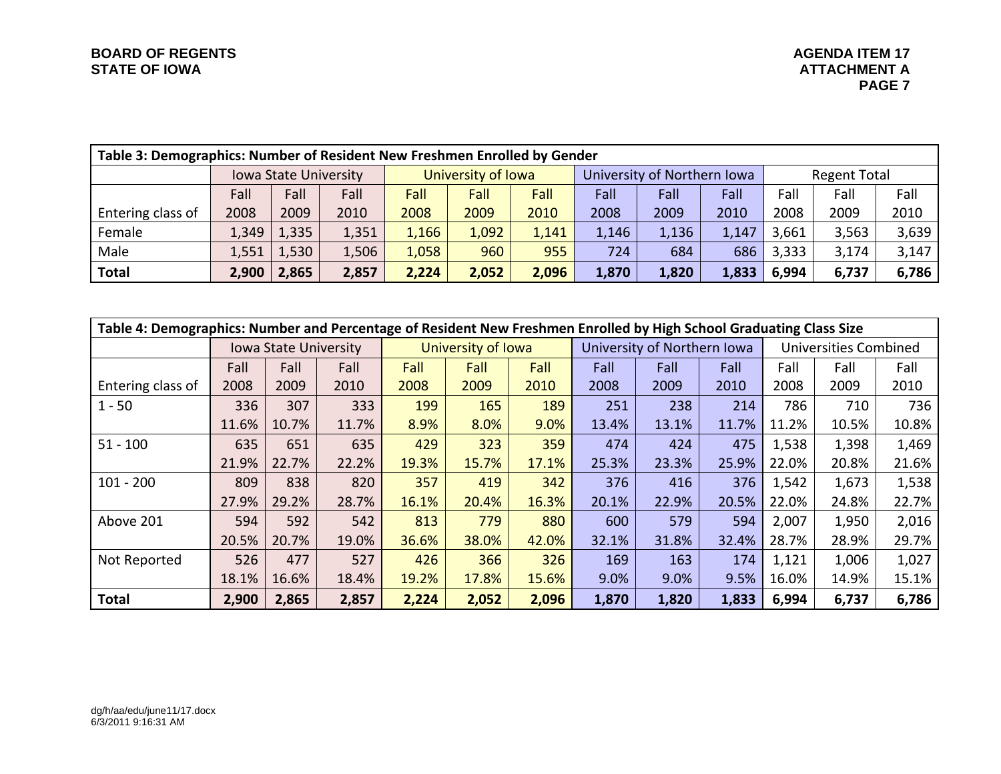| Table 3: Demographics: Number of Resident New Freshmen Enrolled by Gender |                              |       |                    |       |       |       |                             |       |                     |       |       |       |  |
|---------------------------------------------------------------------------|------------------------------|-------|--------------------|-------|-------|-------|-----------------------------|-------|---------------------|-------|-------|-------|--|
|                                                                           | <b>Iowa State University</b> |       | University of Iowa |       |       |       | University of Northern Iowa |       | <b>Regent Total</b> |       |       |       |  |
|                                                                           | Fall                         | Fall  | Fall               | Fall  | Fall  | Fall  | Fall                        | Fall  | Fall                | Fall  | Fall  | Fall  |  |
| Entering class of                                                         | 2008                         | 2009  | 2010               | 2008  | 2009  | 2010  | 2008                        | 2009  | 2010                | 2008  | 2009  | 2010  |  |
| Female                                                                    | 1,349                        | 1,335 | 1,351              | 1,166 | 1,092 | 1,141 | 1,146                       | 1,136 | 1,147               | 3,661 | 3,563 | 3,639 |  |
| Male                                                                      | 1,551                        | 1,530 | 1,506              | 1,058 | 960   | 955   | 724                         | 684   | 686                 | 3,333 | 3,174 | 3,147 |  |
| <b>Total</b>                                                              | 2,900                        | 2,865 | 2,857              | 2,224 | 2,052 | 2,096 | 1,870                       | 1,820 | 1,833               | 6,994 | 6,737 | 6,786 |  |

|                   | Table 4: Demographics: Number and Percentage of Resident New Freshmen Enrolled by High School Graduating Class Size |                              |       |       |                    |       |       |                             |       |       |                              |       |  |  |
|-------------------|---------------------------------------------------------------------------------------------------------------------|------------------------------|-------|-------|--------------------|-------|-------|-----------------------------|-------|-------|------------------------------|-------|--|--|
|                   |                                                                                                                     | <b>Iowa State University</b> |       |       | University of Iowa |       |       | University of Northern Iowa |       |       | <b>Universities Combined</b> |       |  |  |
|                   | Fall                                                                                                                | Fall                         | Fall  | Fall  | Fall               | Fall  | Fall  | Fall                        | Fall  | Fall  | Fall                         | Fall  |  |  |
| Entering class of | 2008                                                                                                                | 2009                         | 2010  | 2008  | 2009               | 2010  | 2008  | 2009                        | 2010  | 2008  | 2009                         | 2010  |  |  |
| $1 - 50$          | 336                                                                                                                 | 307                          | 333   | 199   | 165                | 189   | 251   | 238                         | 214   | 786   | 710                          | 736   |  |  |
|                   | 11.6%                                                                                                               | 10.7%                        | 11.7% | 8.9%  | 8.0%               | 9.0%  | 13.4% | 13.1%                       | 11.7% | 11.2% | 10.5%                        | 10.8% |  |  |
| $51 - 100$        | 635                                                                                                                 | 651                          | 635   | 429   | 323                | 359   | 474   | 424                         | 475   | 1,538 | 1,398                        | 1,469 |  |  |
|                   | 21.9%                                                                                                               | 22.7%                        | 22.2% | 19.3% | 15.7%              | 17.1% | 25.3% | 23.3%                       | 25.9% | 22.0% | 20.8%                        | 21.6% |  |  |
| $101 - 200$       | 809                                                                                                                 | 838                          | 820   | 357   | 419                | 342   | 376   | 416                         | 376   | 1,542 | 1,673                        | 1,538 |  |  |
|                   | 27.9%                                                                                                               | 29.2%                        | 28.7% | 16.1% | 20.4%              | 16.3% | 20.1% | 22.9%                       | 20.5% | 22.0% | 24.8%                        | 22.7% |  |  |
| Above 201         | 594                                                                                                                 | 592                          | 542   | 813   | 779                | 880   | 600   | 579                         | 594   | 2,007 | 1,950                        | 2,016 |  |  |
|                   | 20.5%                                                                                                               | 20.7%                        | 19.0% | 36.6% | 38.0%              | 42.0% | 32.1% | 31.8%                       | 32.4% | 28.7% | 28.9%                        | 29.7% |  |  |
| Not Reported      | 526                                                                                                                 | 477                          | 527   | 426   | 366                | 326   | 169   | 163                         | 174   | 1,121 | 1,006                        | 1,027 |  |  |
|                   | 18.1%                                                                                                               | 16.6%                        | 18.4% | 19.2% | 17.8%              | 15.6% | 9.0%  | 9.0%                        | 9.5%  | 16.0% | 14.9%                        | 15.1% |  |  |
| <b>Total</b>      | 2,900                                                                                                               | 2,865                        | 2,857 | 2,224 | 2,052              | 2,096 | 1,870 | 1,820                       | 1,833 | 6,994 | 6,737                        | 6,786 |  |  |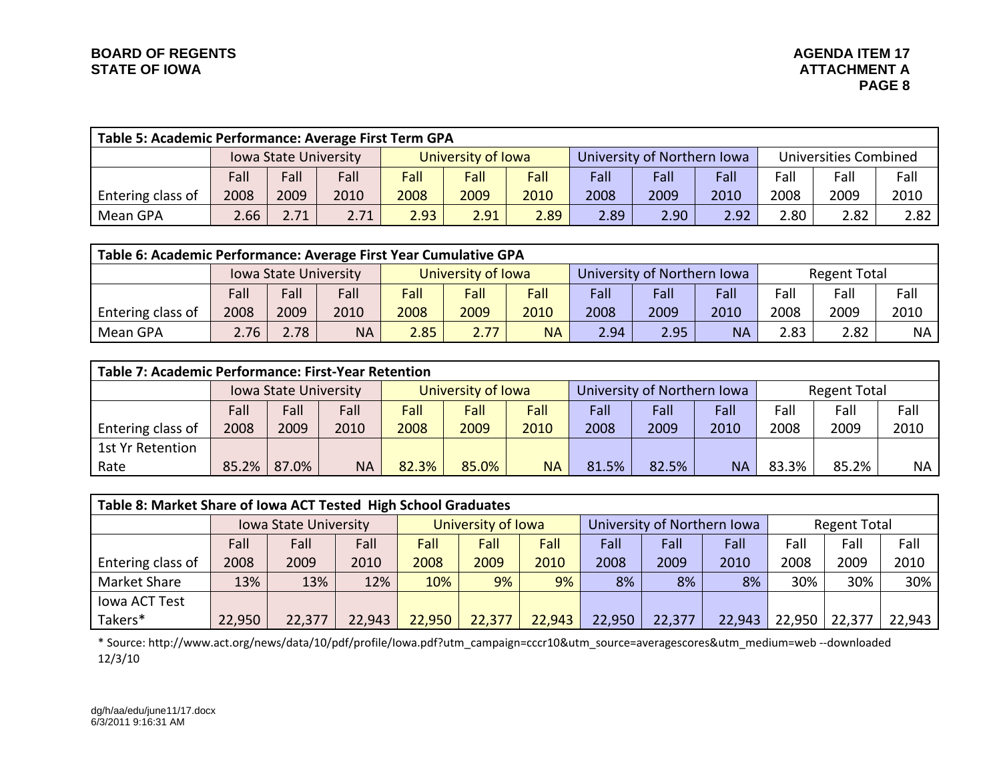|                   | Table 5: Academic Performance: Average First Term GPA                                        |      |      |                      |      |      |      |                             |      |                              |      |      |  |  |
|-------------------|----------------------------------------------------------------------------------------------|------|------|----------------------|------|------|------|-----------------------------|------|------------------------------|------|------|--|--|
|                   | University of Iowa<br><b>Iowa State University</b>                                           |      |      |                      |      |      |      | University of Northern Iowa |      | <b>Universities Combined</b> |      |      |  |  |
|                   | Fall                                                                                         | Fall | Fall | Fall<br>Fall<br>Fall |      | Fall | Fall | Fall                        | Fall | Fall                         | Fall |      |  |  |
| Entering class of | 2008                                                                                         | 2009 | 2010 | 2008                 | 2009 | 2010 | 2008 | 2009                        | 2010 | 2008                         | 2009 | 2010 |  |  |
| Mean GPA          | 2.91<br>2.89<br>2.90<br>2.80<br>2.71<br>2.89<br>2.71<br>2.93<br>2.92<br>2.82<br>2.82<br>2.66 |      |      |                      |      |      |      |                             |      |                              |      |      |  |  |

|                   | Table 6: Academic Performance: Average First Year Cumulative GPA |                                                                                                     |      |      |      |                                                    |      |             |      |      |      |      |  |  |
|-------------------|------------------------------------------------------------------|-----------------------------------------------------------------------------------------------------|------|------|------|----------------------------------------------------|------|-------------|------|------|------|------|--|--|
|                   | University of Iowa<br><b>Iowa State University</b>               |                                                                                                     |      |      |      | University of Northern Iowa<br><b>Regent Total</b> |      |             |      |      |      |      |  |  |
|                   | Fall                                                             | Fall                                                                                                | Fall | Fall | Fall | Fall                                               | Fall | <b>Fall</b> | Fall | Fall | Fall | Fall |  |  |
| Entering class of | 2008                                                             | 2009                                                                                                | 2010 | 2008 | 2009 | 2010                                               | 2008 | 2009        | 2010 | 2008 | 2009 | 2010 |  |  |
| Mean GPA          | 2.76                                                             | 2.78<br>2.95<br>2.77<br>2.83<br><b>NA</b><br>2.85<br><b>NA</b><br>2.94<br>2.82<br><b>NA</b><br>NA I |      |      |      |                                                    |      |             |      |      |      |      |  |  |

|                   | Table 7: Academic Performance: First-Year Retention |       |           |                    |       |           |                             |       |           |                     |       |           |  |  |
|-------------------|-----------------------------------------------------|-------|-----------|--------------------|-------|-----------|-----------------------------|-------|-----------|---------------------|-------|-----------|--|--|
|                   | <b>Iowa State University</b>                        |       |           | University of Iowa |       |           | University of Northern Iowa |       |           | <b>Regent Total</b> |       |           |  |  |
|                   | Fall                                                | Fall  | Fall      | Fall               | Fall  | Fall      | Fall                        | Fall  | Fall      | Fall                | Fall  | Fall      |  |  |
| Entering class of | 2008                                                | 2009  | 2010      | 2008               | 2009  | 2010      | 2008                        | 2009  | 2010      | 2008                | 2009  | 2010      |  |  |
| 1st Yr Retention  |                                                     |       |           |                    |       |           |                             |       |           |                     |       |           |  |  |
| Rate              | 85.2%                                               | 87.0% | <b>NA</b> | 82.3%              | 85.0% | <b>NA</b> | 81.5%                       | 82.5% | <b>NA</b> | 83.3%               | 85.2% | <b>NA</b> |  |  |

|                   | Table 8: Market Share of Iowa ACT Tested High School Graduates |        |        |                    |        |        |        |                             |        |              |        |        |  |
|-------------------|----------------------------------------------------------------|--------|--------|--------------------|--------|--------|--------|-----------------------------|--------|--------------|--------|--------|--|
|                   | Iowa State University                                          |        |        | University of Iowa |        |        |        | University of Northern Iowa |        | Regent Total |        |        |  |
|                   | Fall                                                           | Fall   | Fall   | Fall               | Fall   | Fall   | Fall   | Fall                        | Fall   | Fall         | Fall   | Fall   |  |
| Entering class of | 2008                                                           | 2009   | 2010   | 2008               | 2009   | 2010   | 2008   | 2009                        | 2010   | 2008         | 2009   | 2010   |  |
| Market Share      | 13%                                                            | 13%    | 12%    | 10%                | 9%     | 9%     | 8%     | 8%                          | 8%     | 30%          | 30%    | 30%    |  |
| lowa ACT Test     |                                                                |        |        |                    |        |        |        |                             |        |              |        |        |  |
| Takers*           | 22,950                                                         | 22,377 | 22,943 | 22,950             | 22,377 | 22,943 | 22,950 | 22,377                      | 22,943 | 22,950       | 22,377 | 22,943 |  |

\* Source: http://www.act.org/news/data/10/pdf/profile/Iowa.pdf?utm\_campaign=cccr10&utm\_source=averagescores&utm\_medium=web ‐‐downloaded 12/3/10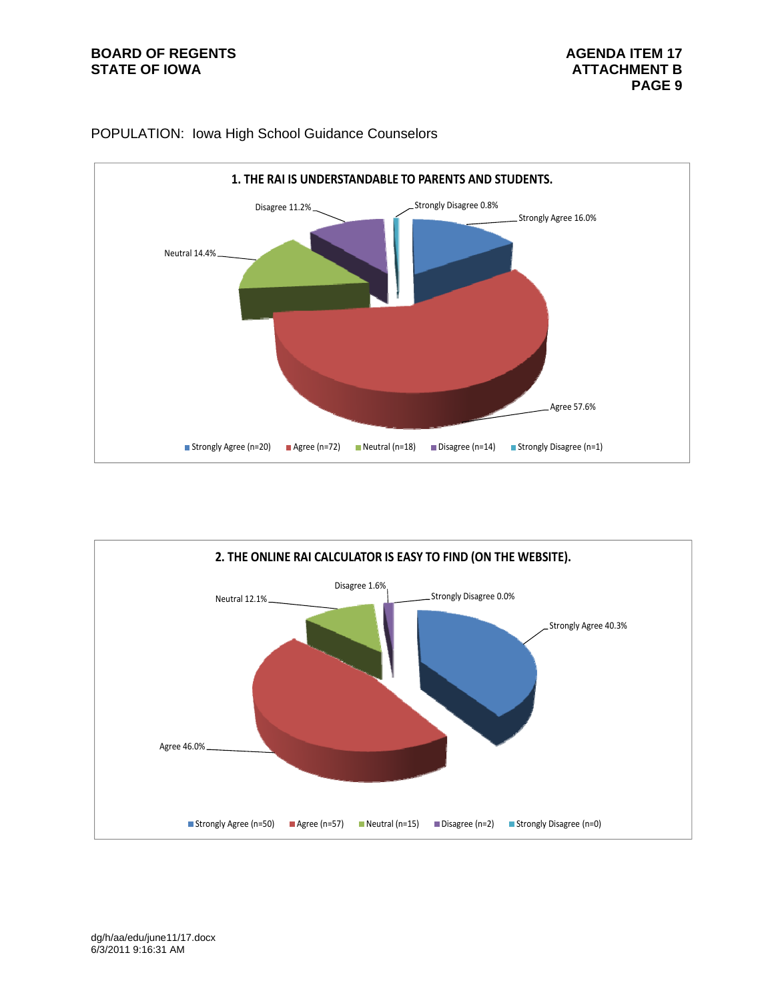# **BOARD OF REGENTS AGENDA ITEM 17**<br>STATE OF IOWA **AGENDA** ITEM 17



## POPULATION: Iowa High School Guidance Counselors

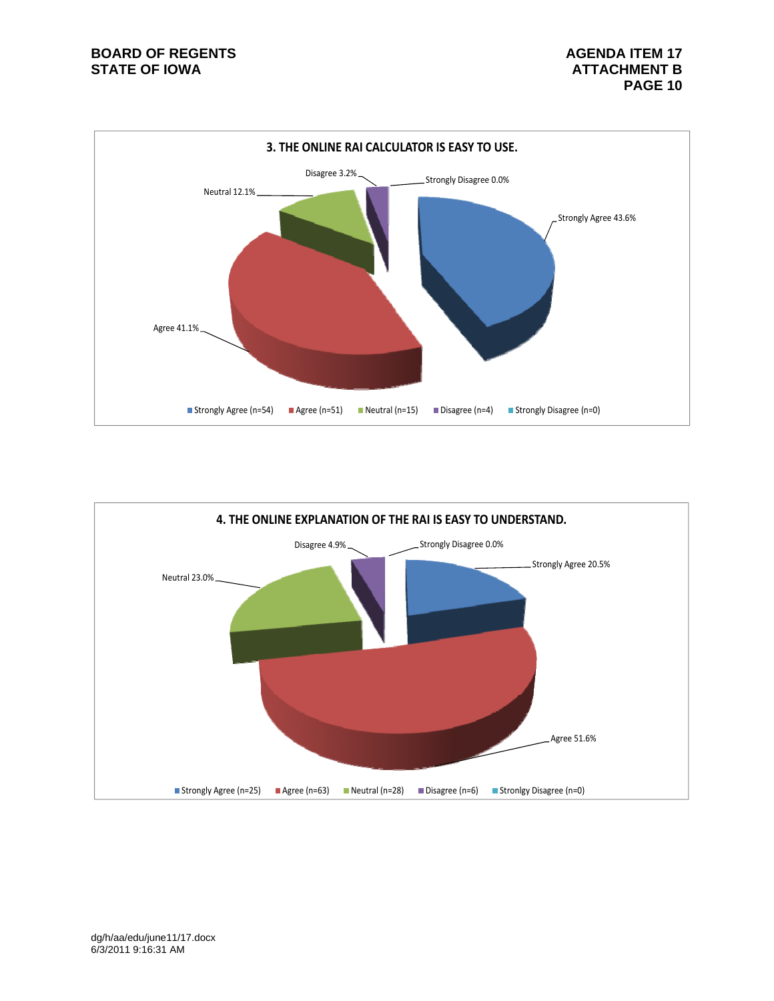

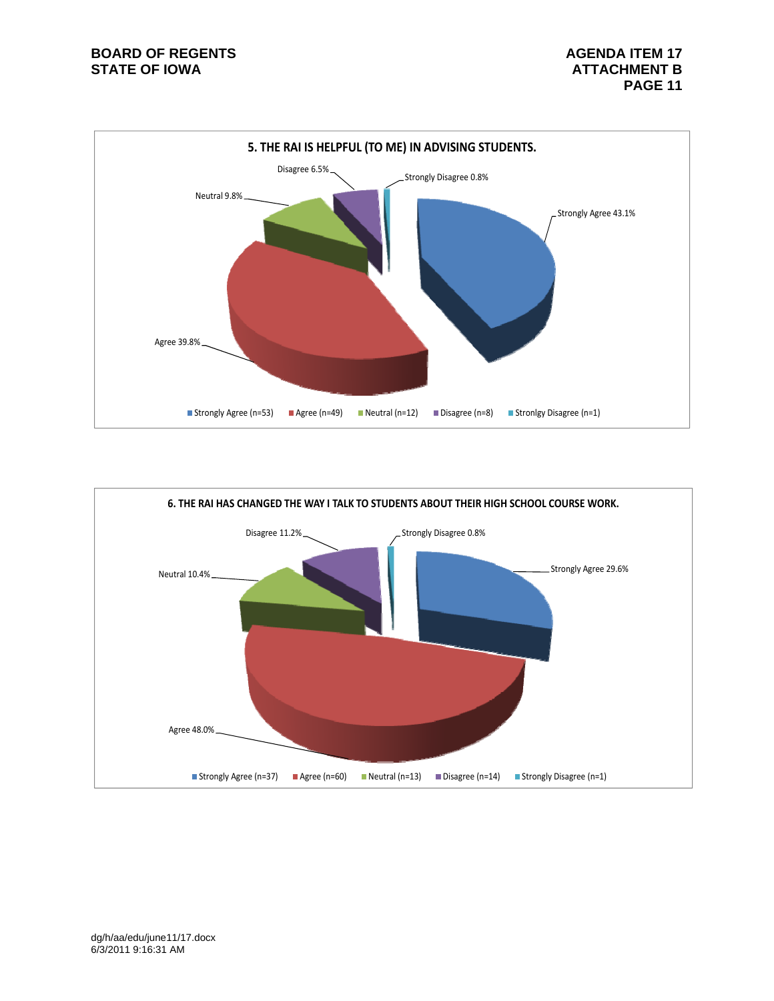# **BOARD OF REGENTS AGENUS AGENDA ITEM 17**



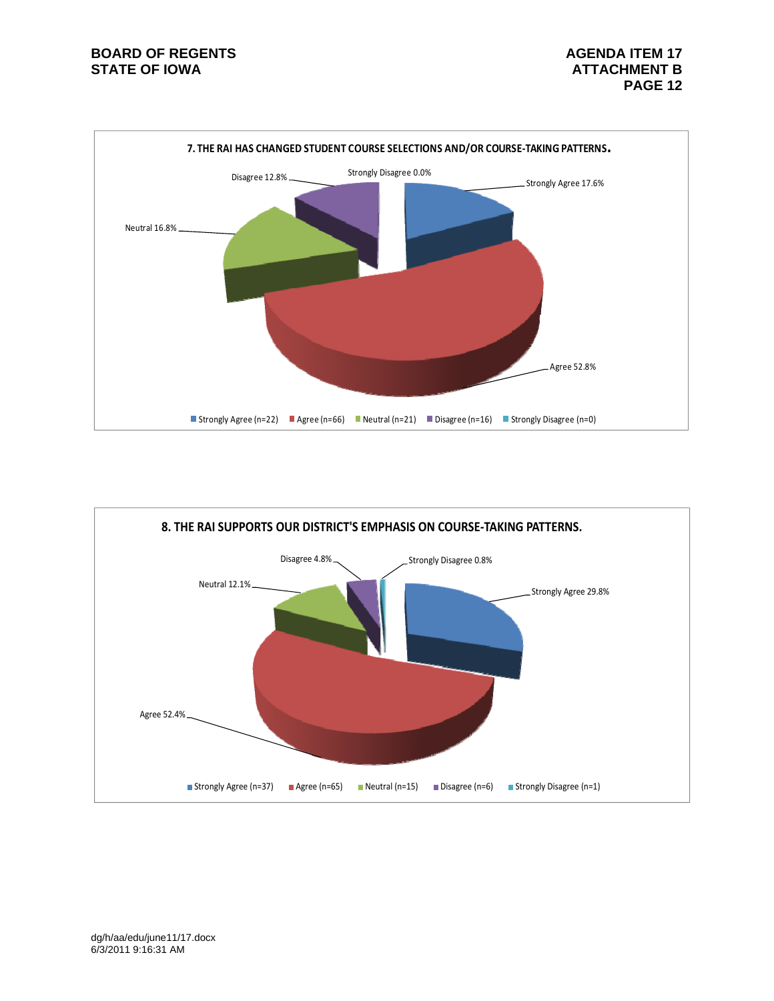# **BOARD OF REGENTS AGENDA ITEM 17**<br>STATE OF IOWA **AGENDA** ITEM 17



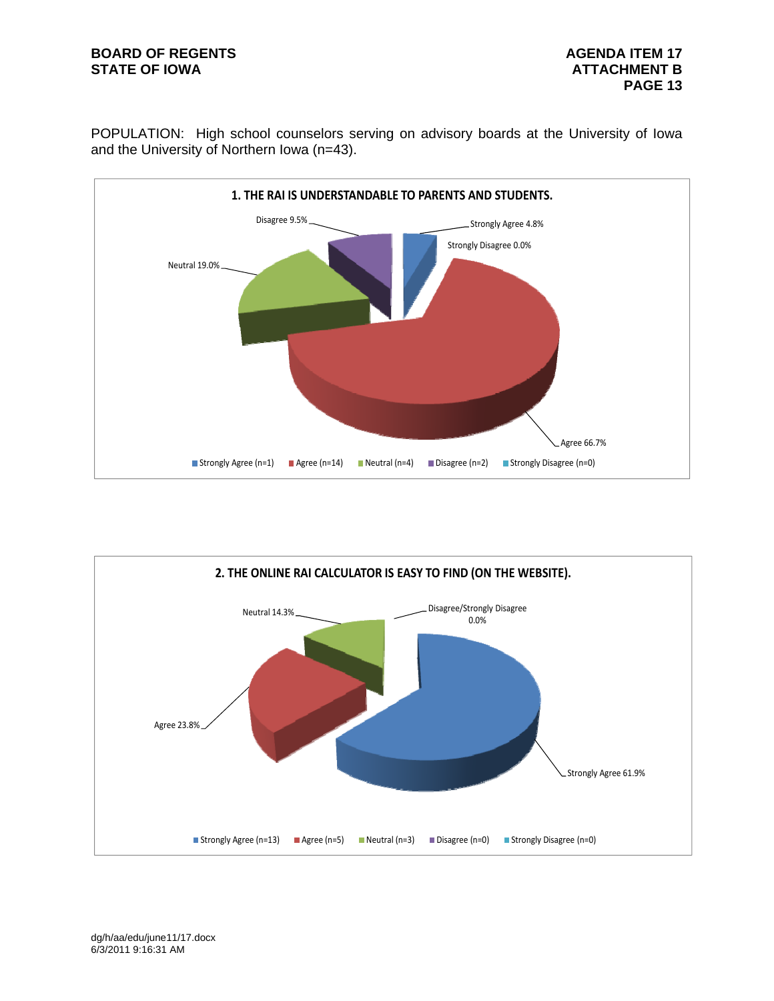# **BOARD OF REGENTS AGENUS AGENDA ITEM 17**

POPULATION: High school counselors serving on advisory boards at the University of Iowa and the University of Northern Iowa (n=43).



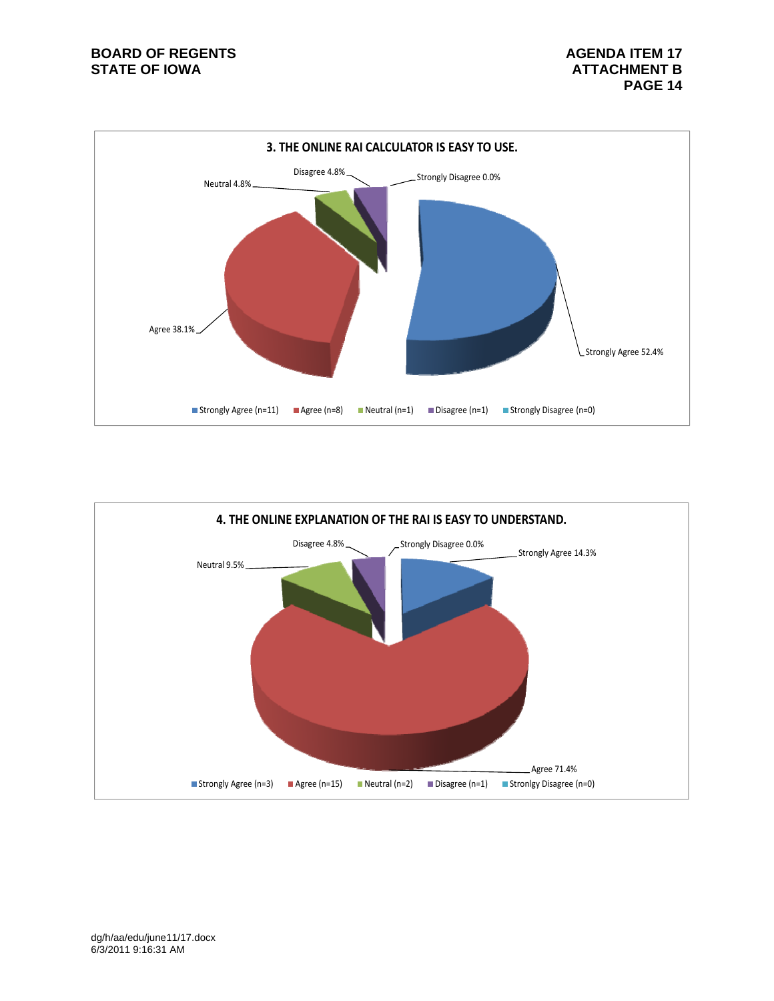

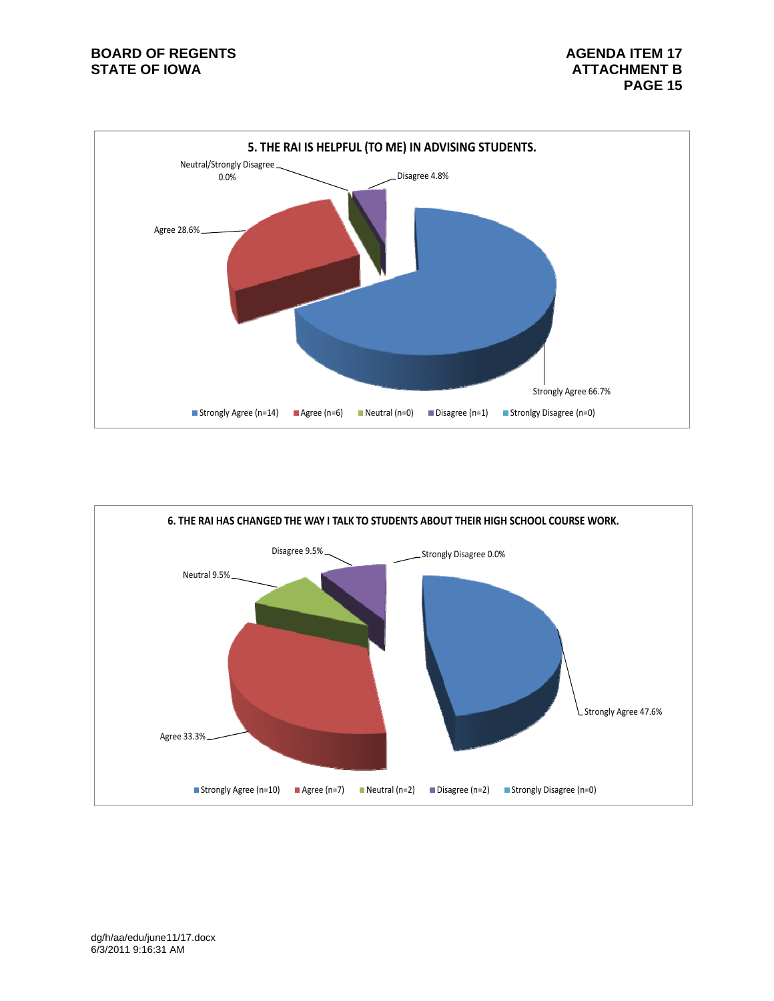# **BOARD OF REGENTS BOARD OF REGENTS**



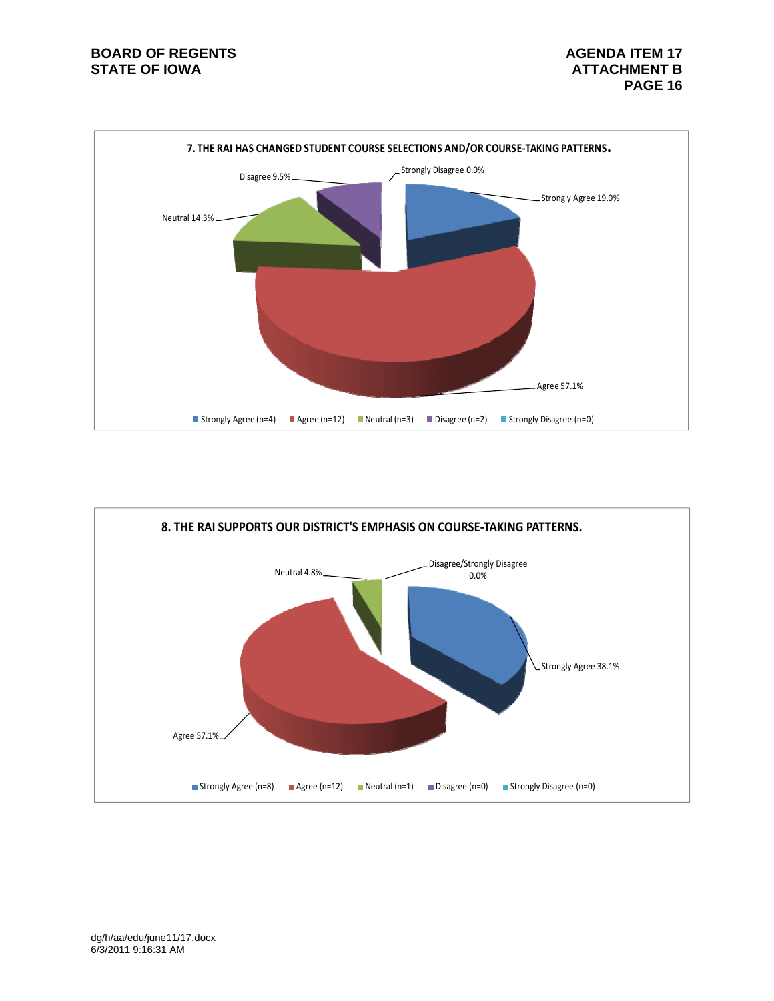# **BOARD OF REGENTS BOARD OF REGENTS**



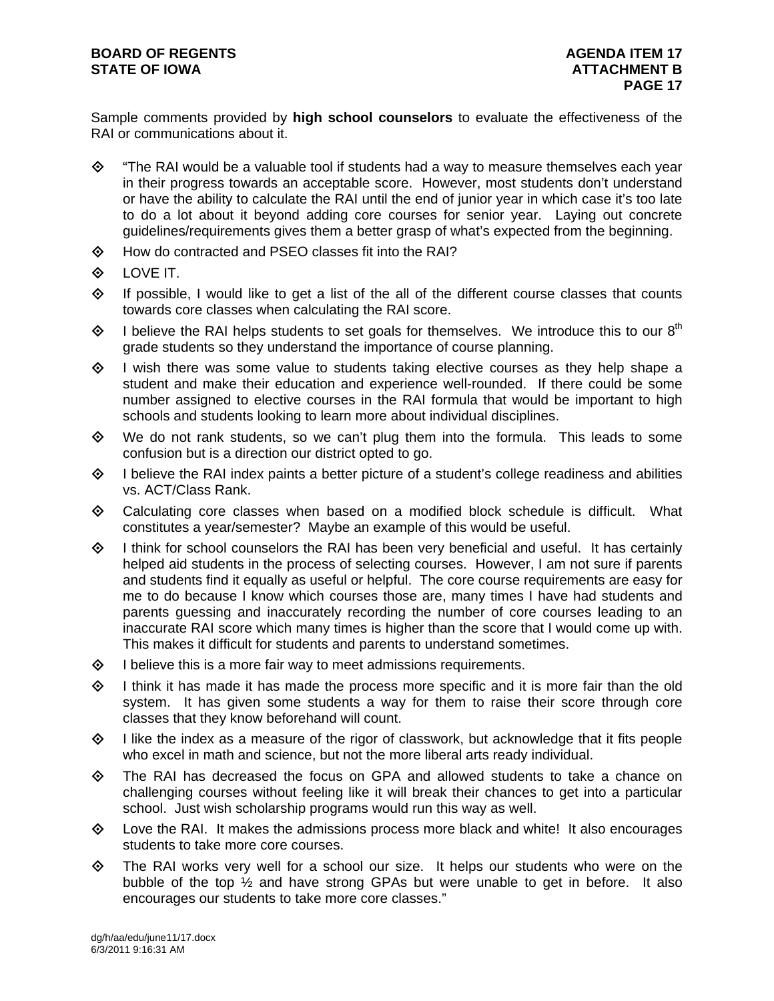Sample comments provided by **high school counselors** to evaluate the effectiveness of the RAI or communications about it.

- $\diamond$  "The RAI would be a valuable tool if students had a way to measure themselves each year in their progress towards an acceptable score. However, most students don't understand or have the ability to calculate the RAI until the end of junior year in which case it's too late to do a lot about it beyond adding core courses for senior year. Laying out concrete guidelines/requirements gives them a better grasp of what's expected from the beginning.
- How do contracted and PSEO classes fit into the RAI?
- $\diamond$  LOVE IT.
- $\Diamond$  If possible, I would like to get a list of the all of the different course classes that counts towards core classes when calculating the RAI score.
- $\diamond$  I believe the RAI helps students to set goals for themselves. We introduce this to our 8<sup>th</sup> grade students so they understand the importance of course planning.
- $\Diamond$  I wish there was some value to students taking elective courses as they help shape a student and make their education and experience well-rounded. If there could be some number assigned to elective courses in the RAI formula that would be important to high schools and students looking to learn more about individual disciplines.
- $\diamond$  We do not rank students, so we can't plug them into the formula. This leads to some confusion but is a direction our district opted to go.
- $\Diamond$  I believe the RAI index paints a better picture of a student's college readiness and abilities vs. ACT/Class Rank.
- $\diamond$  Calculating core classes when based on a modified block schedule is difficult. What constitutes a year/semester? Maybe an example of this would be useful.
- $\diamondsuit$  I think for school counselors the RAI has been very beneficial and useful. It has certainly helped aid students in the process of selecting courses. However, I am not sure if parents and students find it equally as useful or helpful. The core course requirements are easy for me to do because I know which courses those are, many times I have had students and parents guessing and inaccurately recording the number of core courses leading to an inaccurate RAI score which many times is higher than the score that I would come up with. This makes it difficult for students and parents to understand sometimes.
- $\diamond$  I believe this is a more fair way to meet admissions requirements.
- $\Diamond$  I think it has made it has made the process more specific and it is more fair than the old system. It has given some students a way for them to raise their score through core classes that they know beforehand will count.
- $\Diamond$  I like the index as a measure of the rigor of classwork, but acknowledge that it fits people who excel in math and science, but not the more liberal arts ready individual.
- $\diamond$  The RAI has decreased the focus on GPA and allowed students to take a chance on challenging courses without feeling like it will break their chances to get into a particular school. Just wish scholarship programs would run this way as well.
- $\diamond$  Love the RAI. It makes the admissions process more black and white! It also encourages students to take more core courses.
- $\Leftrightarrow$  The RAI works very well for a school our size. It helps our students who were on the bubble of the top ½ and have strong GPAs but were unable to get in before. It also encourages our students to take more core classes."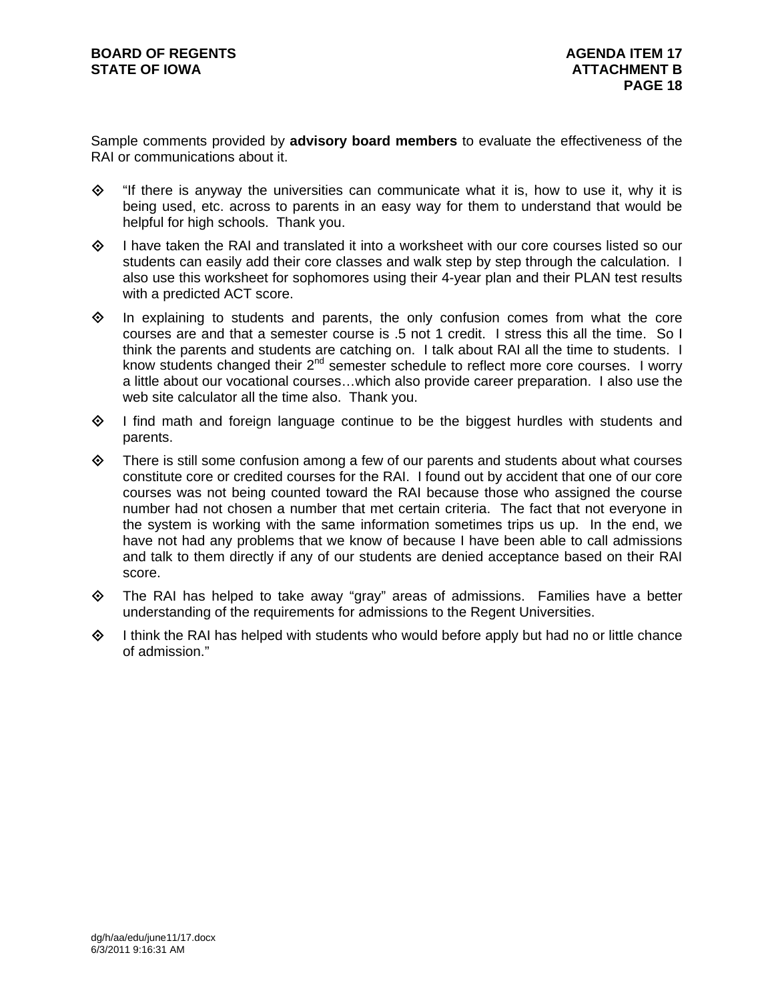Sample comments provided by **advisory board members** to evaluate the effectiveness of the RAI or communications about it.

- $\diamond$  "If there is anyway the universities can communicate what it is, how to use it, why it is being used, etc. across to parents in an easy way for them to understand that would be helpful for high schools. Thank you.
- $\diamondsuit$  I have taken the RAI and translated it into a worksheet with our core courses listed so our students can easily add their core classes and walk step by step through the calculation. I also use this worksheet for sophomores using their 4-year plan and their PLAN test results with a predicted ACT score.
- $\diamond$  In explaining to students and parents, the only confusion comes from what the core courses are and that a semester course is .5 not 1 credit. I stress this all the time. So I think the parents and students are catching on. I talk about RAI all the time to students. I know students changed their  $2^{nd}$  semester schedule to reflect more core courses. I worry a little about our vocational courses…which also provide career preparation. I also use the web site calculator all the time also. Thank you.
- $\Diamond$  I find math and foreign language continue to be the biggest hurdles with students and parents.
- $\diamond$  There is still some confusion among a few of our parents and students about what courses constitute core or credited courses for the RAI. I found out by accident that one of our core courses was not being counted toward the RAI because those who assigned the course number had not chosen a number that met certain criteria. The fact that not everyone in the system is working with the same information sometimes trips us up. In the end, we have not had any problems that we know of because I have been able to call admissions and talk to them directly if any of our students are denied acceptance based on their RAI score.
- $\diamond$  The RAI has helped to take away "gray" areas of admissions. Families have a better understanding of the requirements for admissions to the Regent Universities.
- $\Diamond$  I think the RAI has helped with students who would before apply but had no or little chance of admission."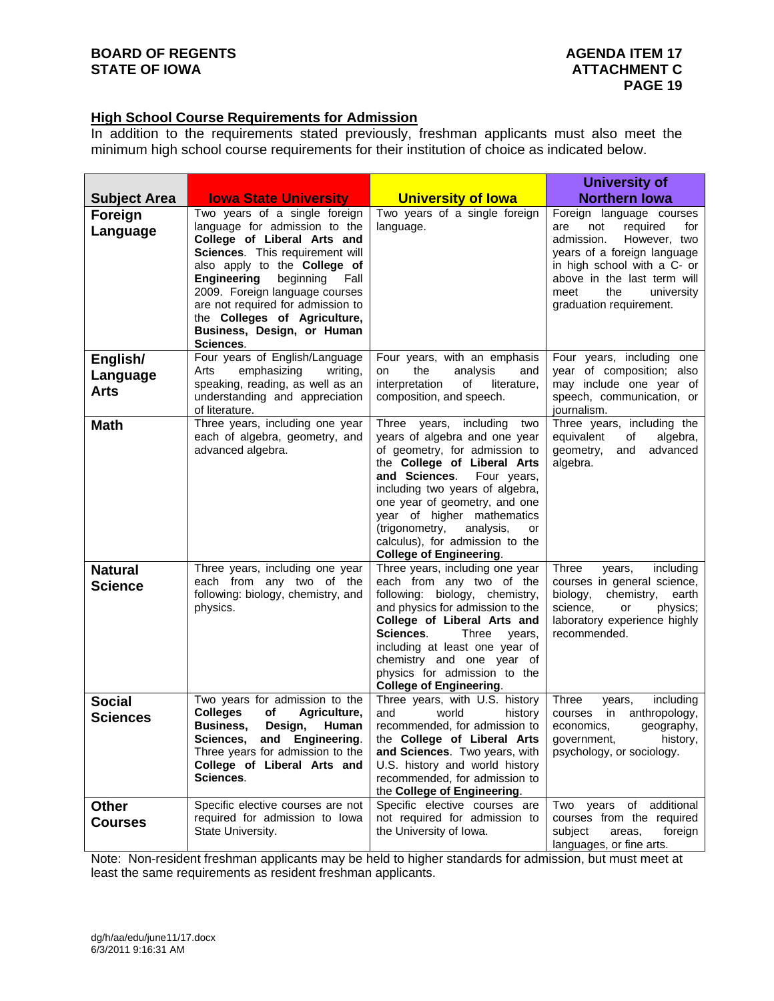### **High School Course Requirements for Admission**

In addition to the requirements stated previously, freshman applicants must also meet the minimum high school course requirements for their institution of choice as indicated below.

|                                     |                                                                                                                                                                                                                                                                                                                                                     |                                                                                                                                                                                                                                                                                                                                                                         | <b>University of</b>                                                                                                                                                                                                                         |
|-------------------------------------|-----------------------------------------------------------------------------------------------------------------------------------------------------------------------------------------------------------------------------------------------------------------------------------------------------------------------------------------------------|-------------------------------------------------------------------------------------------------------------------------------------------------------------------------------------------------------------------------------------------------------------------------------------------------------------------------------------------------------------------------|----------------------------------------------------------------------------------------------------------------------------------------------------------------------------------------------------------------------------------------------|
| <b>Subject Area</b>                 | <b>Iowa State University</b>                                                                                                                                                                                                                                                                                                                        | <b>University of lowa</b>                                                                                                                                                                                                                                                                                                                                               | <b>Northern lowa</b>                                                                                                                                                                                                                         |
| Foreign<br>Language                 | Two years of a single foreign<br>language for admission to the<br>College of Liberal Arts and<br>Sciences. This requirement will<br>also apply to the College of<br>Engineering<br>beginning Fall<br>2009. Foreign language courses<br>are not required for admission to<br>the Colleges of Agriculture,<br>Business, Design, or Human<br>Sciences. | Two years of a single foreign<br>language.                                                                                                                                                                                                                                                                                                                              | Foreign language courses<br>not<br>required<br>for<br>are<br>admission.<br>However, two<br>years of a foreign language<br>in high school with a C- or<br>above in the last term will<br>meet<br>the<br>university<br>graduation requirement. |
| English/<br>Language<br><b>Arts</b> | Four years of English/Language<br>emphasizing<br>Arts<br>writing,<br>speaking, reading, as well as an<br>understanding and appreciation<br>of literature.                                                                                                                                                                                           | Four years, with an emphasis<br>the<br>analysis<br>and<br>on<br>interpretation<br>of<br>literature,<br>composition, and speech.                                                                                                                                                                                                                                         | Four years, including one<br>year of composition; also<br>may include one year of<br>speech, communication, or<br>journalism.                                                                                                                |
| <b>Math</b>                         | Three years, including one year<br>each of algebra, geometry, and<br>advanced algebra.                                                                                                                                                                                                                                                              | Three years, including<br>two<br>years of algebra and one year<br>of geometry, for admission to<br>the College of Liberal Arts<br>and Sciences. Four years,<br>including two years of algebra,<br>one year of geometry, and one<br>year of higher mathematics<br>(trigonometry,<br>analysis,<br>or<br>calculus), for admission to the<br><b>College of Engineering.</b> | Three years, including the<br>equivalent<br>оf<br>algebra,<br>geometry,<br>advanced<br>and<br>algebra.                                                                                                                                       |
| <b>Natural</b><br><b>Science</b>    | Three years, including one year<br>each from any two of the<br>following: biology, chemistry, and<br>physics.                                                                                                                                                                                                                                       | Three years, including one year<br>each from any two of the<br>following: biology, chemistry,<br>and physics for admission to the<br>College of Liberal Arts and<br>Sciences.<br>Three<br>years,<br>including at least one year of<br>chemistry and one year of<br>physics for admission to the<br><b>College of Engineering.</b>                                       | <b>Three</b><br>including<br>years,<br>courses in general science,<br>biology,<br>chemistry,<br>earth<br>science,<br>physics;<br>or<br>laboratory experience highly<br>recommended.                                                          |
| <b>Social</b><br><b>Sciences</b>    | Two years for admission to the<br><b>Colleges</b><br>оf<br>Agriculture,<br><b>Business,</b><br>Design,<br>Human<br>Sciences.<br>and Engineering.<br>Three years for admission to the<br>College of Liberal Arts and<br>Sciences.                                                                                                                    | Three years, with U.S. history<br>and<br>world<br>history<br>recommended, for admission to<br>the College of Liberal Arts<br>and Sciences. Two years, with<br>U.S. history and world history<br>recommended, for admission to<br>the College of Engineering.                                                                                                            | <b>Three</b><br>including<br>years,<br>anthropology,<br>in<br>courses<br>economics,<br>geography,<br>government,<br>history,<br>psychology, or sociology.                                                                                    |
| <b>Other</b><br><b>Courses</b>      | Specific elective courses are not<br>required for admission to lowa<br>State University.                                                                                                                                                                                                                                                            | Specific elective courses are<br>not required for admission to<br>the University of Iowa.                                                                                                                                                                                                                                                                               | of additional<br>Two years<br>courses from the required<br>subject<br>areas.<br>foreign<br>languages, or fine arts.                                                                                                                          |

Note: Non-resident freshman applicants may be held to higher standards for admission, but must meet at least the same requirements as resident freshman applicants.